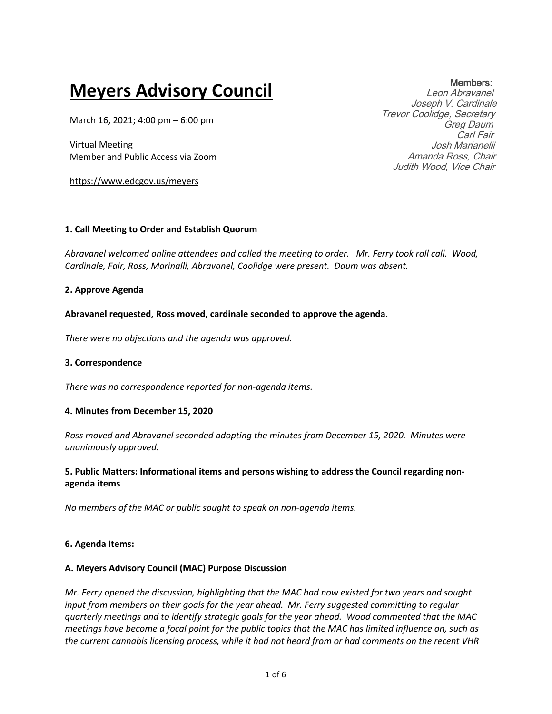# **Meyers Advisory Council**

March 16, 2021; 4:00 pm – 6:00 pm

Virtual Meeting Member and Public Access via Zoom

https://www.edcgov.us/meyers

### **1. Call Meeting to Order and Establish Quorum**

*Abravanel welcomed online attendees and called the meeting to order. Mr. Ferry took roll call. Wood, Cardinale, Fair, Ross, Marinalli, Abravanel, Coolidge were present. Daum was absent.* 

### **2. Approve Agenda**

#### **Abravanel requested, Ross moved, cardinale seconded to approve the agenda.**

*There were no objections and the agenda was approved.*

#### **3. Correspondence**

*There was no correspondence reported for non-agenda items.*

#### **4. Minutes from December 15, 2020**

*Ross moved and Abravanel seconded adopting the minutes from December 15, 2020. Minutes were unanimously approved.*

## **5. Public Matters: Informational items and persons wishing to address the Council regarding nonagenda items**

*No members of the MAC or public sought to speak on non-agenda items.*

#### **6. Agenda Items:**

# **A. Meyers Advisory Council (MAC) Purpose Discussion**

*Mr. Ferry opened the discussion, highlighting that the MAC had now existed for two years and sought input from members on their goals for the year ahead. Mr. Ferry suggested committing to regular quarterly meetings and to identify strategic goals for the year ahead. Wood commented that the MAC meetings have become a focal point for the public topics that the MAC has limited influence on, such as the current cannabis licensing process, while it had not heard from or had comments on the recent VHR* 

Members: Leon Abravanel Joseph V. Cardinale Trevor Coolidge, Secretary Greg Daum Carl Fair Josh Marianelli Amanda Ross, Chair Judith Wood, Vice Chair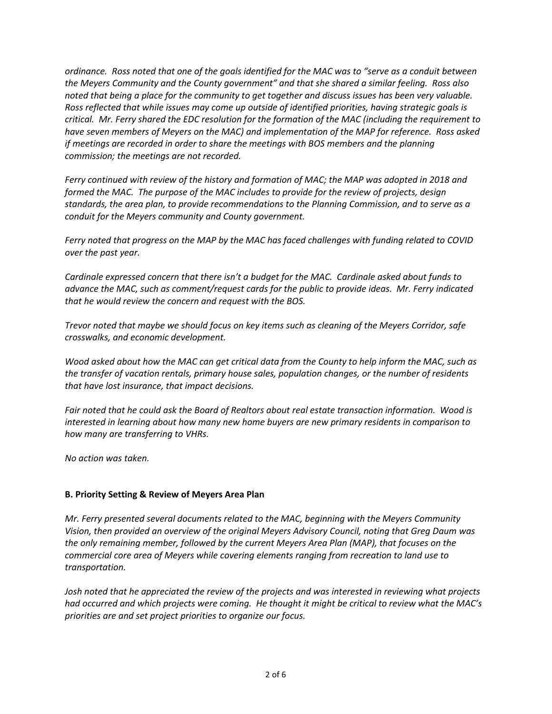*ordinance. Ross noted that one of the goals identified for the MAC was to "serve as a conduit between the Meyers Community and the County government" and that she shared a similar feeling. Ross also noted that being a place for the community to get together and discuss issues has been very valuable. Ross reflected that while issues may come up outside of identified priorities, having strategic goals is critical. Mr. Ferry shared the EDC resolution for the formation of the MAC (including the requirement to have seven members of Meyers on the MAC) and implementation of the MAP for reference. Ross asked if meetings are recorded in order to share the meetings with BOS members and the planning commission; the meetings are not recorded.*

*Ferry continued with review of the history and formation of MAC; the MAP was adopted in 2018 and formed the MAC. The purpose of the MAC includes to provide for the review of projects, design standards, the area plan, to provide recommendations to the Planning Commission, and to serve as a conduit for the Meyers community and County government.*

*Ferry noted that progress on the MAP by the MAC has faced challenges with funding related to COVID over the past year.*

*Cardinale expressed concern that there isn't a budget for the MAC. Cardinale asked about funds to advance the MAC, such as comment/request cards for the public to provide ideas. Mr. Ferry indicated that he would review the concern and request with the BOS.* 

*Trevor noted that maybe we should focus on key items such as cleaning of the Meyers Corridor, safe crosswalks, and economic development.*

*Wood asked about how the MAC can get critical data from the County to help inform the MAC, such as the transfer of vacation rentals, primary house sales, population changes, or the number of residents that have lost insurance, that impact decisions.*

*Fair noted that he could ask the Board of Realtors about real estate transaction information. Wood is interested in learning about how many new home buyers are new primary residents in comparison to how many are transferring to VHRs.* 

*No action was taken.* 

## **B. Priority Setting & Review of Meyers Area Plan**

*Mr. Ferry presented several documents related to the MAC, beginning with the Meyers Community Vision, then provided an overview of the original Meyers Advisory Council, noting that Greg Daum was the only remaining member, followed by the current Meyers Area Plan (MAP), that focuses on the commercial core area of Meyers while covering elements ranging from recreation to land use to transportation.*

*Josh noted that he appreciated the review of the projects and was interested in reviewing what projects had occurred and which projects were coming. He thought it might be critical to review what the MAC's priorities are and set project priorities to organize our focus.*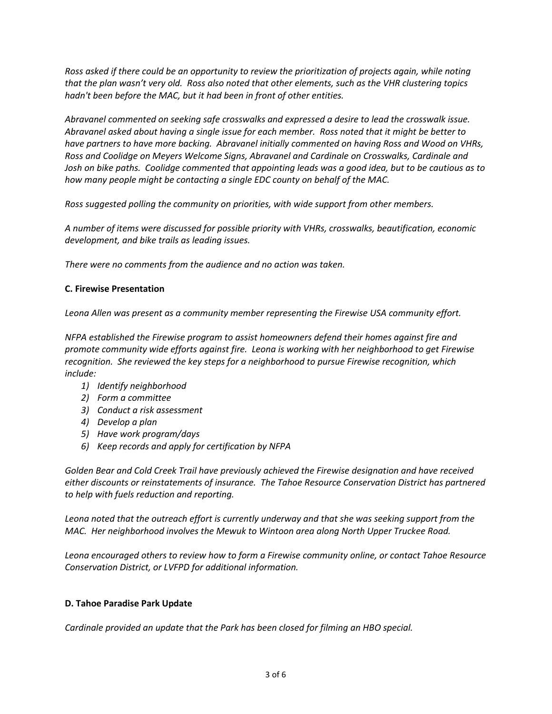*Ross asked if there could be an opportunity to review the prioritization of projects again, while noting that the plan wasn't very old. Ross also noted that other elements, such as the VHR clustering topics hadn't been before the MAC, but it had been in front of other entities.*

*Abravanel commented on seeking safe crosswalks and expressed a desire to lead the crosswalk issue. Abravanel asked about having a single issue for each member. Ross noted that it might be better to have partners to have more backing. Abravanel initially commented on having Ross and Wood on VHRs, Ross and Coolidge on Meyers Welcome Signs, Abravanel and Cardinale on Crosswalks, Cardinale and Josh on bike paths. Coolidge commented that appointing leads was a good idea, but to be cautious as to how many people might be contacting a single EDC county on behalf of the MAC.*

*Ross suggested polling the community on priorities, with wide support from other members.*

*A number of items were discussed for possible priority with VHRs, crosswalks, beautification, economic development, and bike trails as leading issues.*

*There were no comments from the audience and no action was taken.*

# **C. Firewise Presentation**

*Leona Allen was present as a community member representing the Firewise USA community effort.*

*NFPA established the Firewise program to assist homeowners defend their homes against fire and promote community wide efforts against fire. Leona is working with her neighborhood to get Firewise recognition. She reviewed the key steps for a neighborhood to pursue Firewise recognition, which include:*

- *1) Identify neighborhood*
- *2) Form a committee*
- *3) Conduct a risk assessment*
- *4) Develop a plan*
- *5) Have work program/days*
- *6) Keep records and apply for certification by NFPA*

*Golden Bear and Cold Creek Trail have previously achieved the Firewise designation and have received either discounts or reinstatements of insurance. The Tahoe Resource Conservation District has partnered to help with fuels reduction and reporting.* 

*Leona noted that the outreach effort is currently underway and that she was seeking support from the MAC. Her neighborhood involves the Mewuk to Wintoon area along North Upper Truckee Road.* 

*Leona encouraged others to review how to form a Firewise community online, or contact Tahoe Resource Conservation District, or LVFPD for additional information.*

# **D. Tahoe Paradise Park Update**

*Cardinale provided an update that the Park has been closed for filming an HBO special.*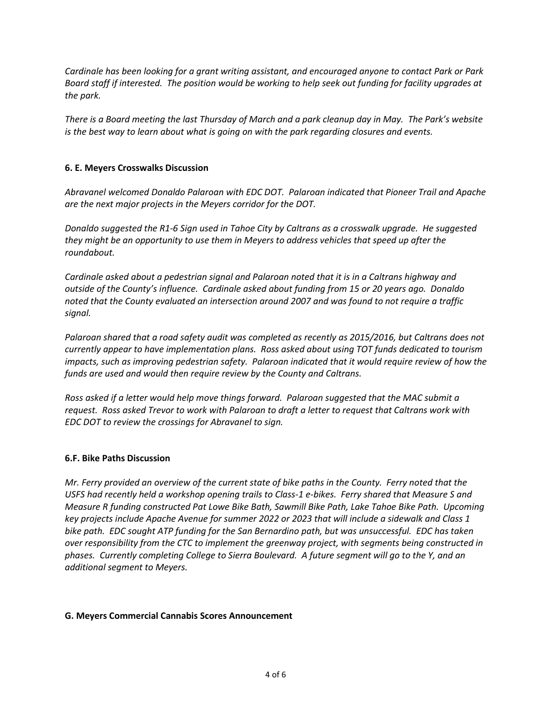*Cardinale has been looking for a grant writing assistant, and encouraged anyone to contact Park or Park Board staff if interested. The position would be working to help seek out funding for facility upgrades at the park.*

*There is a Board meeting the last Thursday of March and a park cleanup day in May. The Park's website is the best way to learn about what is going on with the park regarding closures and events.*

## **6. E. Meyers Crosswalks Discussion**

*Abravanel welcomed Donaldo Palaroan with EDC DOT. Palaroan indicated that Pioneer Trail and Apache are the next major projects in the Meyers corridor for the DOT.*

*Donaldo suggested the R1-6 Sign used in Tahoe City by Caltrans as a crosswalk upgrade. He suggested they might be an opportunity to use them in Meyers to address vehicles that speed up after the roundabout.*

*Cardinale asked about a pedestrian signal and Palaroan noted that it is in a Caltrans highway and outside of the County's influence. Cardinale asked about funding from 15 or 20 years ago. Donaldo noted that the County evaluated an intersection around 2007 and was found to not require a traffic signal.*

*Palaroan shared that a road safety audit was completed as recently as 2015/2016, but Caltrans does not currently appear to have implementation plans. Ross asked about using TOT funds dedicated to tourism impacts, such as improving pedestrian safety. Palaroan indicated that it would require review of how the funds are used and would then require review by the County and Caltrans.*

*Ross asked if a letter would help move things forward. Palaroan suggested that the MAC submit a request. Ross asked Trevor to work with Palaroan to draft a letter to request that Caltrans work with EDC DOT to review the crossings for Abravanel to sign.*

## **6.F. Bike Paths Discussion**

*Mr. Ferry provided an overview of the current state of bike paths in the County. Ferry noted that the USFS had recently held a workshop opening trails to Class-1 e-bikes. Ferry shared that Measure S and Measure R funding constructed Pat Lowe Bike Bath, Sawmill Bike Path, Lake Tahoe Bike Path. Upcoming key projects include Apache Avenue for summer 2022 or 2023 that will include a sidewalk and Class 1 bike path. EDC sought ATP funding for the San Bernardino path, but was unsuccessful. EDC has taken over responsibility from the CTC to implement the greenway project, with segments being constructed in phases. Currently completing College to Sierra Boulevard. A future segment will go to the Y, and an additional segment to Meyers.*

## **G. Meyers Commercial Cannabis Scores Announcement**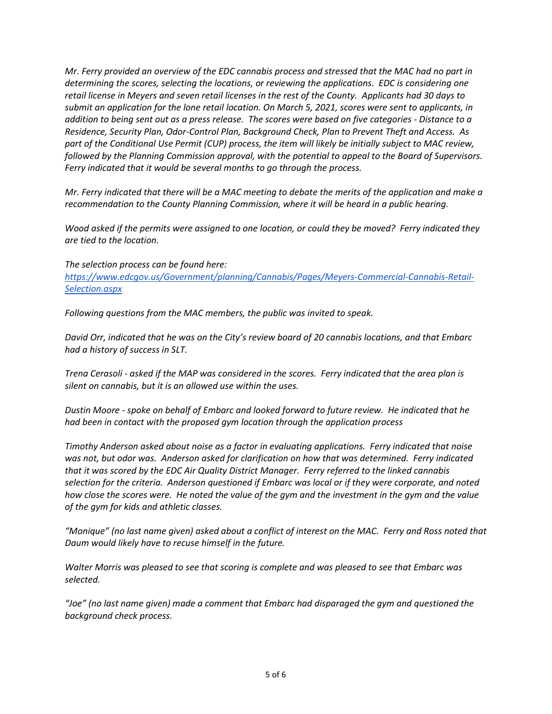*Mr. Ferry provided an overview of the EDC cannabis process and stressed that the MAC had no part in determining the scores, selecting the locations, or reviewing the applications. EDC is considering one retail license in Meyers and seven retail licenses in the rest of the County. Applicants had 30 days to submit an application for the lone retail location. On March 5, 2021, scores were sent to applicants, in addition to being sent out as a press release. The scores were based on five categories - Distance to a Residence, Security Plan, Odor-Control Plan, Background Check, Plan to Prevent Theft and Access. As part of the Conditional Use Permit (CUP) process, the item will likely be initially subject to MAC review, followed by the Planning Commission approval, with the potential to appeal to the Board of Supervisors. Ferry indicated that it would be several months to go through the process.*

*Mr. Ferry indicated that there will be a MAC meeting to debate the merits of the application and make a recommendation to the County Planning Commission, where it will be heard in a public hearing.* 

*Wood asked if the permits were assigned to one location, or could they be moved? Ferry indicated they are tied to the location.*

*The selection process can be found here: [https://www.edcgov.us/Government/planning/Cannabis/Pages/Meyers-Commercial-Cannabis-Retail-](https://www.edcgov.us/Government/planning/Cannabis/Pages/Meyers-Commercial-Cannabis-Retail-Selection.aspx)[Selection.aspx](https://www.edcgov.us/Government/planning/Cannabis/Pages/Meyers-Commercial-Cannabis-Retail-Selection.aspx)*

*Following questions from the MAC members, the public was invited to speak.*

*David Orr, indicated that he was on the City's review board of 20 cannabis locations, and that Embarc had a history of success in SLT.*

*Trena Cerasoli - asked if the MAP was considered in the scores. Ferry indicated that the area plan is silent on cannabis, but it is an allowed use within the uses.*

*Dustin Moore - spoke on behalf of Embarc and looked forward to future review. He indicated that he had been in contact with the proposed gym location through the application process*

*Timothy Anderson asked about noise as a factor in evaluating applications. Ferry indicated that noise was not, but odor was. Anderson asked for clarification on how that was determined. Ferry indicated that it was scored by the EDC Air Quality District Manager. Ferry referred to the linked cannabis selection for the criteria. Anderson questioned if Embarc was local or if they were corporate, and noted how close the scores were. He noted the value of the gym and the investment in the gym and the value of the gym for kids and athletic classes.*

*"Monique" (no last name given) asked about a conflict of interest on the MAC. Ferry and Ross noted that Daum would likely have to recuse himself in the future.*

*Walter Morris was pleased to see that scoring is complete and was pleased to see that Embarc was selected.*

*"Joe" (no last name given) made a comment that Embarc had disparaged the gym and questioned the background check process.*